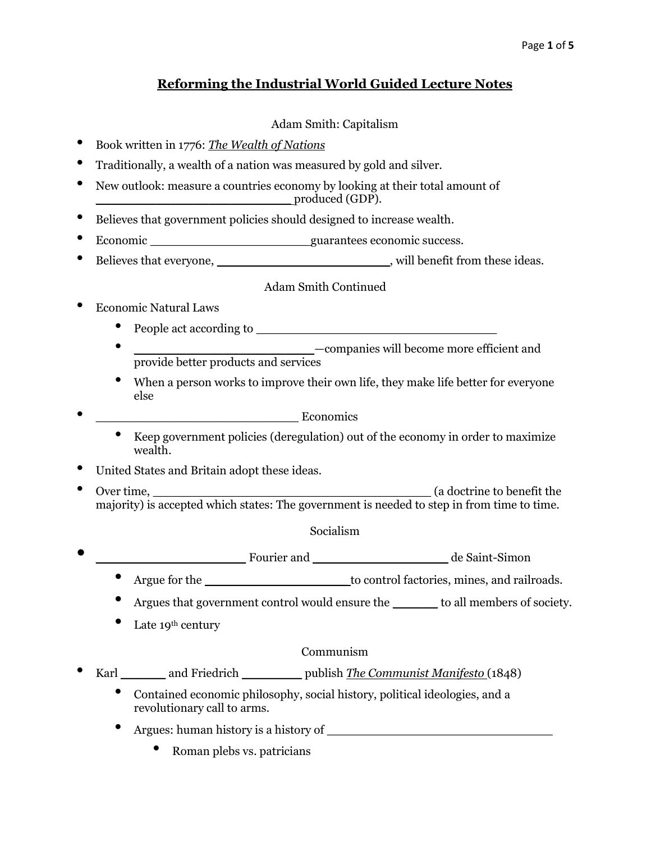# **Reforming the Industrial World Guided Lecture Notes**

## Adam Smith: Capitalism

- Book written in 1776: *The Wealth of Nations*
- Traditionally, a wealth of a nation was measured by gold and silver.
- New outlook: measure a countries economy by looking at their total amount of \_\_\_\_\_\_\_\_\_\_\_\_\_\_\_\_\_\_\_\_\_\_\_\_\_\_ produced (GDP).
- Believes that government policies should designed to increase wealth.
- Economic quarantees economic success.
- Believes that everyone, \_\_\_\_\_\_\_\_\_\_\_\_\_\_\_\_\_\_\_\_\_\_\_\_\_\_\_\_\_\_\_, will benefit from these ideas.

## Adam Smith Continued

- Economic Natural Laws
	- People act according to  $\blacksquare$
	- **\_\_\_\_\_\_\_\_\_\_\_\_\_\_\_\_\_\_\_\_\_\_\_\_\_\_\_**—companies will become more efficient and provide better products and services
	- When a person works to improve their own life, they make life better for everyone else
- $\bullet$  Economics
	- Keep government policies (deregulation) out of the economy in order to maximize wealth.
- United States and Britain adopt these ideas.
- Over time, \_\_\_\_\_\_\_\_\_\_\_\_\_\_\_\_\_\_\_\_\_\_\_\_\_\_\_\_\_\_\_\_\_\_\_\_\_ (a doctrine to benefit the majority) is accepted which states: The government is needed to step in from time to time.

#### Socialism

- Fourier and **Example 20** and the Saint-Simon
	- Argue for the to control factories, mines, and railroads.
	- Argues that government control would ensure the \_\_\_\_\_\_ to all members of society.
	- Late  $19^{\text{th}}$  century

#### Communism

- Karl \_\_\_\_\_\_ and Friedrich \_\_\_\_\_\_\_\_ publish *The Communist Manifesto* (1848)
	- Contained economic philosophy, social history, political ideologies, and a revolutionary call to arms.
	- Argues: human history is a history of \_\_\_\_\_\_\_\_\_\_\_\_\_\_\_\_\_\_\_\_\_\_\_\_\_\_\_\_\_\_
		- Roman plebs vs. patricians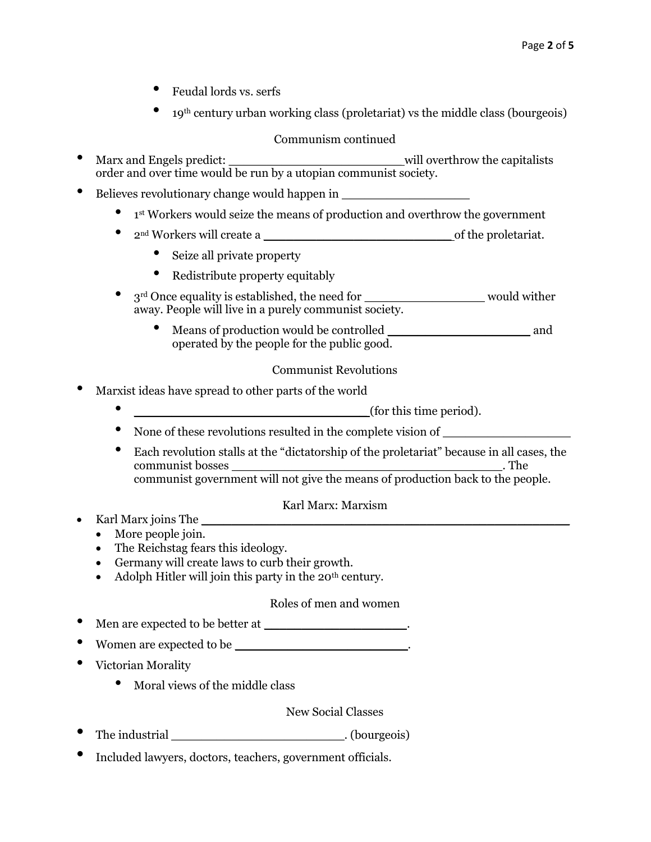- Feudal lords vs. serfs
- <sup>19</sup>th century urban working class (proletariat) vs the middle class (bourgeois)

#### Communism continued

- Marx and Engels predict: \_\_\_\_\_\_\_\_\_\_\_\_\_\_\_\_\_\_\_\_\_\_\_ will overthrow the capitalists order and over time would be run by a utopian communist society.
- Believes revolutionary change would happen in \_\_\_\_\_\_\_\_\_\_\_\_\_\_\_\_\_
	- <sup>1</sup> st Workers would seize the means of production and overthrow the government
	- <sup>2</sup>nd Workers will create a \_\_\_\_\_\_\_\_\_\_\_\_\_\_\_\_\_\_\_\_\_\_\_\_\_ of the proletariat.
		- Seize all private property
		- Redistribute property equitably
	- $3<sup>rd</sup>$  Once equality is established, the need for \_\_\_\_\_\_\_\_\_\_\_\_\_\_\_\_\_\_\_\_\_\_\_ would wither away. People will live in a purely communist society.
		- Means of production would be controlled \_\_\_\_\_\_\_\_\_\_\_\_\_\_\_\_\_\_\_ and operated by the people for the public good.

## Communist Revolutions

- Marxist ideas have spread to other parts of the world
	- $\qquad \qquad \qquad$  (for this time period).
	- None of these revolutions resulted in the complete vision of \_\_\_\_\_\_\_\_\_\_\_\_\_\_\_\_\_
	- Each revolution stalls at the "dictatorship of the proletariat" because in all cases, the communist bosses \_\_\_\_\_\_\_\_\_\_\_\_\_\_\_\_\_\_\_\_\_\_\_\_\_\_\_\_\_\_\_\_\_\_\_\_. The communist government will not give the means of production back to the people.

#### Karl Marx: Marxism

- Karl Marx joins The \_\_\_\_\_\_\_\_\_\_\_\_\_\_\_\_\_\_\_\_\_\_\_\_\_\_\_\_\_\_\_\_\_\_\_\_\_\_\_\_\_\_\_\_\_\_\_\_\_
	- More people join.
	- The Reichstag fears this ideology.
	- Germany will create laws to curb their growth.
	- Adolph Hitler will join this party in the  $20<sup>th</sup>$  century.

## Roles of men and women

- Men are expected to be better at \_\_\_\_\_\_\_\_\_\_\_\_\_\_\_\_\_\_\_\_\_.
- Women are expected to be \_\_\_\_\_\_\_\_\_\_\_\_\_\_\_\_\_\_\_\_\_\_\_\_\_\_\_\_\_\_\_\_.
- Victorian Morality
	- Moral views of the middle class

#### New Social Classes

- The industrial \_\_\_\_\_\_\_\_\_\_\_\_\_\_\_\_\_\_\_\_\_\_\_\_\_\_\_\_\_\_\_. (bourgeois)
- Included lawyers, doctors, teachers, government officials.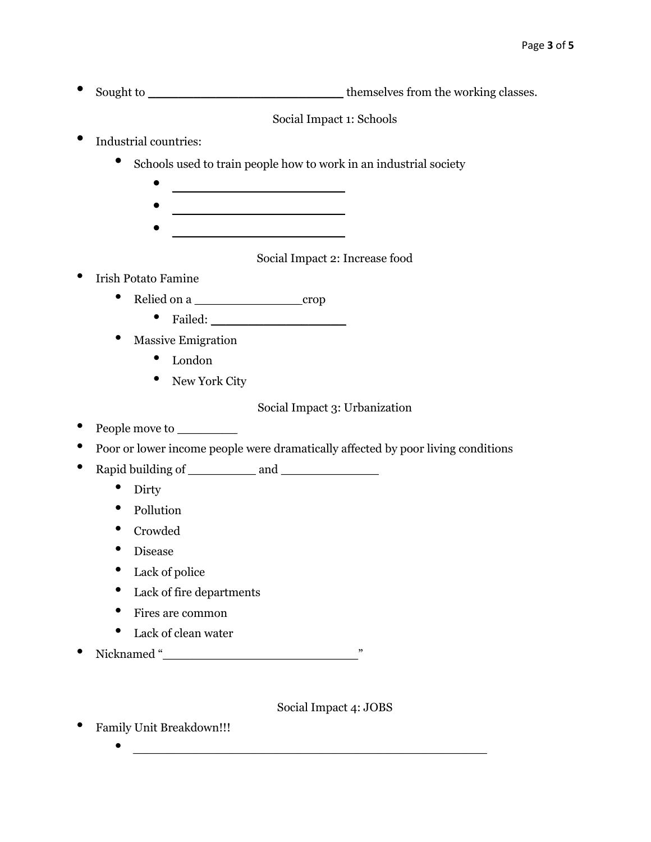• Sought to \_\_\_\_\_\_\_\_\_\_\_\_\_\_\_\_\_\_\_\_\_\_\_\_\_\_ themselves from the working classes.

Social Impact 1: Schools

- Industrial countries:
	- Schools used to train people how to work in an industrial society
		-
		-
		- \_\_\_\_\_\_\_\_\_\_\_\_\_\_\_\_\_\_\_\_\_\_\_

## Social Impact 2: Increase food

- Irish Potato Famine
	- Relied on a crop
		- Failed: \_\_\_\_\_\_\_\_\_\_\_\_\_\_\_\_\_\_
	- Massive Emigration
		- London
		- New York City

## Social Impact 3: Urbanization

- People move to
- Poor or lower income people were dramatically affected by poor living conditions
- Rapid building of \_\_\_\_\_\_\_\_\_ and \_\_\_\_\_\_\_\_\_\_\_\_\_
	- Dirty
	- Pollution
	- Crowded
	- Disease
	- Lack of police
	- Lack of fire departments
	- Fires are common
	- Lack of clean water
- Nicknamed "\_\_\_\_\_\_\_\_\_\_\_\_\_\_\_\_\_\_\_\_\_\_\_\_\_\_"

Social Impact 4: JOBS

- Family Unit Breakdown!!!
	- *\_\_\_\_\_\_\_\_\_\_\_\_\_\_\_\_\_\_\_\_\_\_\_\_\_\_\_\_\_\_\_\_\_\_\_\_\_\_\_\_\_\_\_\_\_\_\_*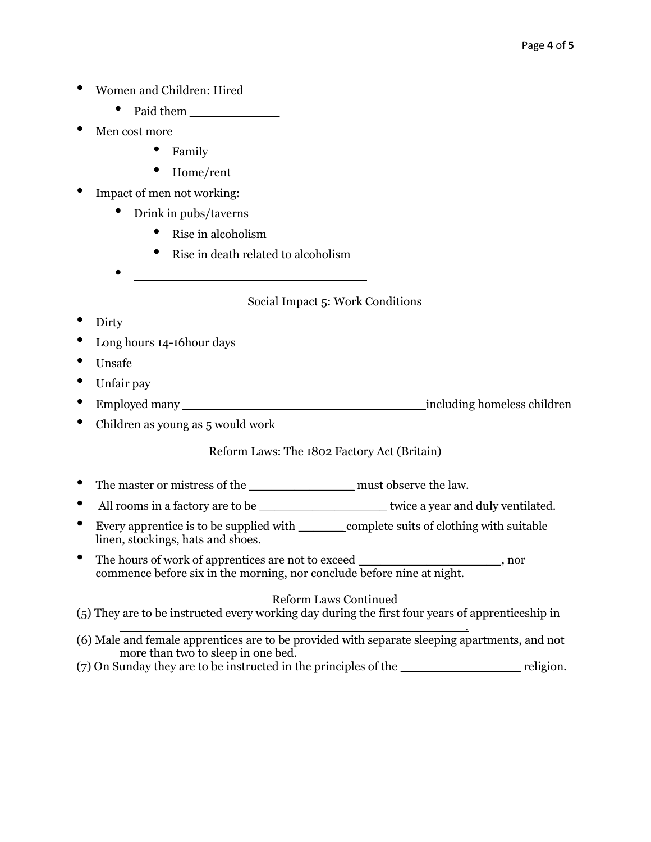- Women and Children: Hired
	- Paid them \_\_\_\_\_\_\_\_\_\_\_\_
- Men cost more
	- Family
	- Home/rent
- Impact of men not working:
	- Drink in pubs/taverns
		- Rise in alcoholism
		- Rise in death related to alcoholism

• \_\_\_\_\_\_\_\_\_\_\_\_\_\_\_\_\_\_\_\_\_\_\_\_\_\_\_\_\_\_\_

Social Impact 5: Work Conditions

- Dirty
- Long hours 14-16 hour days
- Unsafe
- Unfair pay
- Employed many **the including homeless children**
- Children as young as 5 would work

# Reform Laws: The 1802 Factory Act (Britain)

- The master or mistress of the \_\_\_\_\_\_\_\_\_\_\_\_\_\_\_\_\_\_\_\_\_\_\_\_\_ must observe the law.
- All rooms in a factory are to be \_\_\_\_\_\_\_\_\_\_\_\_\_\_\_\_\_\_\_\_\_\_\_\_\_\_twice a year and duly ventilated.
- Every apprentice is to be supplied with \_\_\_\_\_\_\_\_\_\_\_\_\_\_\_complete suits of clothing with suitable linen, stockings, hats and shoes.
- The hours of work of apprentices are not to exceed \_\_\_\_\_\_\_\_\_\_\_\_\_\_\_\_\_\_\_, nor commence before six in the morning, nor conclude before nine at night.

## Reform Laws Continued

(5) They are to be instructed every working day during the first four years of apprenticeship in

- \_\_\_\_\_\_\_\_\_\_\_\_\_\_\_\_\_\_\_\_\_\_\_\_\_\_\_\_\_\_\_\_\_\_\_\_\_\_\_\_\_\_\_\_\_\_. (6) Male and female apprentices are to be provided with separate sleeping apartments, and not more than two to sleep in one bed.
- (7) On Sunday they are to be instructed in the principles of the \_\_\_\_\_\_\_\_\_\_\_\_\_\_\_\_ religion.